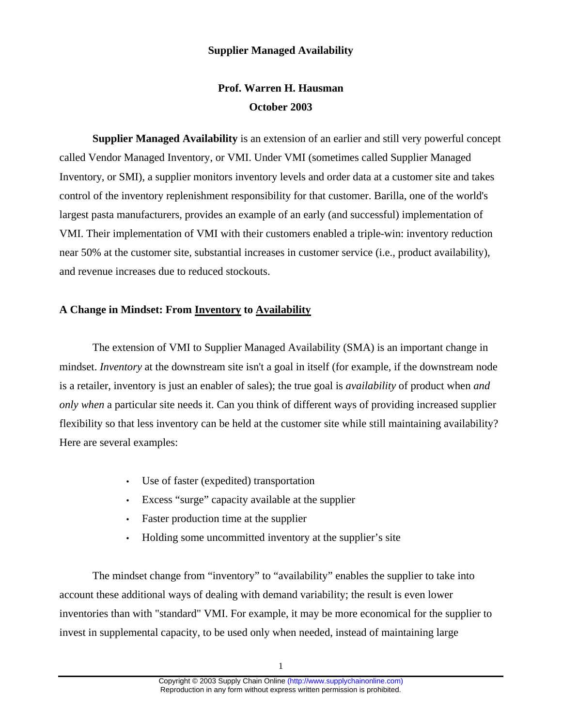## **Supplier Managed Availability**

## **Prof. Warren H. Hausman October 2003**

**Supplier Managed Availability** is an extension of an earlier and still very powerful concept called Vendor Managed Inventory, or VMI. Under VMI (sometimes called Supplier Managed Inventory, or SMI), a supplier monitors inventory levels and order data at a customer site and takes control of the inventory replenishment responsibility for that customer. Barilla, one of the world's largest pasta manufacturers, provides an example of an early (and successful) implementation of VMI. Their implementation of VMI with their customers enabled a triple-win: inventory reduction near 50% at the customer site, substantial increases in customer service (i.e., product availability), and revenue increases due to reduced stockouts.

## **A Change in Mindset: From Inventory to Availability**

The extension of VMI to Supplier Managed Availability (SMA) is an important change in mindset. *Inventory* at the downstream site isn't a goal in itself (for example, if the downstream node is a retailer, inventory is just an enabler of sales); the true goal is *availability* of product when *and only when* a particular site needs it. Can you think of different ways of providing increased supplier flexibility so that less inventory can be held at the customer site while still maintaining availability? Here are several examples:

- Use of faster (expedited) transportation
- Excess "surge" capacity available at the supplier
- Faster production time at the supplier
- Holding some uncommitted inventory at the supplier's site

The mindset change from "inventory" to "availability" enables the supplier to take into account these additional ways of dealing with demand variability; the result is even lower inventories than with "standard" VMI. For example, it may be more economical for the supplier to invest in supplemental capacity, to be used only when needed, instead of maintaining large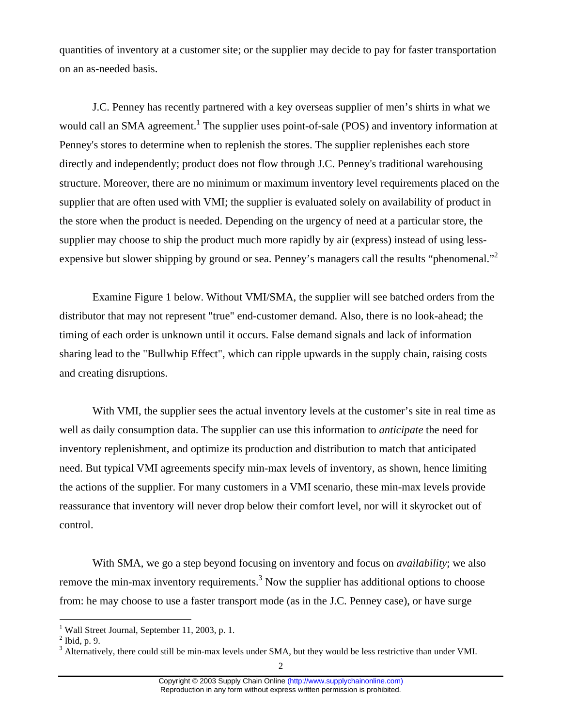quantities of inventory at a customer site; or the supplier may decide to pay for faster transportation on an as-needed basis.

J.C. Penney has recently partnered with a key overseas supplier of men's shirts in what we would call an SMA agreement.<sup>1</sup> The supplier uses point-of-sale (POS) and inventory information at Penney's stores to determine when to replenish the stores. The supplier replenishes each store directly and independently; product does not flow through J.C. Penney's traditional warehousing structure. Moreover, there are no minimum or maximum inventory level requirements placed on the supplier that are often used with VMI; the supplier is evaluated solely on availability of product in the store when the product is needed. Depending on the urgency of need at a particular store, the supplier may choose to ship the product much more rapidly by air (express) instead of using lessexpensive but slower shipping by ground or sea. Penney's managers call the results "phenomenal."<sup>2</sup>

Examine Figure 1 below. Without VMI/SMA, the supplier will see batched orders from the distributor that may not represent "true" end-customer demand. Also, there is no look-ahead; the timing of each order is unknown until it occurs. False demand signals and lack of information sharing lead to the "Bullwhip Effect", which can ripple upwards in the supply chain, raising costs and creating disruptions.

With VMI, the supplier sees the actual inventory levels at the customer's site in real time as well as daily consumption data. The supplier can use this information to *anticipate* the need for inventory replenishment, and optimize its production and distribution to match that anticipated need. But typical VMI agreements specify min-max levels of inventory, as shown, hence limiting the actions of the supplier. For many customers in a VMI scenario, these min-max levels provide reassurance that inventory will never drop below their comfort level, nor will it skyrocket out of control.

With SMA, we go a step beyond focusing on inventory and focus on *availability*; we also remove the min-max inventory requirements.<sup>3</sup> Now the supplier has additional options to choose from: he may choose to use a faster transport mode (as in the J.C. Penney case), or have surge

 $\overline{a}$ 

<sup>&</sup>lt;sup>1</sup> Wall Street Journal, September 11, 2003, p. 1.

 $<sup>2</sup>$  Ibid, p. 9.</sup>

 $3$  Alternatively, there could still be min-max levels under SMA, but they would be less restrictive than under VMI.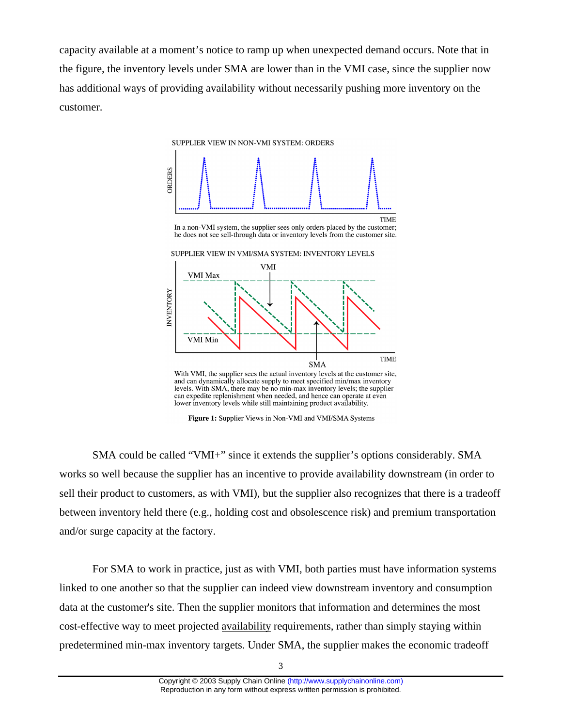capacity available at a moment's notice to ramp up when unexpected demand occurs. Note that in the figure, the inventory levels under SMA are lower than in the VMI case, since the supplier now has additional ways of providing availability without necessarily pushing more inventory on the customer.



can expedite replenishment when needed, and hence can operate at even lower inventory levels while still maintaining product availability.

Figure 1: Supplier Views in Non-VMI and VMI/SMA Systems

SMA could be called "VMI+" since it extends the supplier's options considerably. SMA works so well because the supplier has an incentive to provide availability downstream (in order to sell their product to customers, as with VMI), but the supplier also recognizes that there is a tradeoff between inventory held there (e.g., holding cost and obsolescence risk) and premium transportation and/or surge capacity at the factory.

For SMA to work in practice, just as with VMI, both parties must have information systems linked to one another so that the supplier can indeed view downstream inventory and consumption data at the customer's site. Then the supplier monitors that information and determines the most cost-effective way to meet projected availability requirements, rather than simply staying within predetermined min-max inventory targets. Under SMA, the supplier makes the economic tradeoff